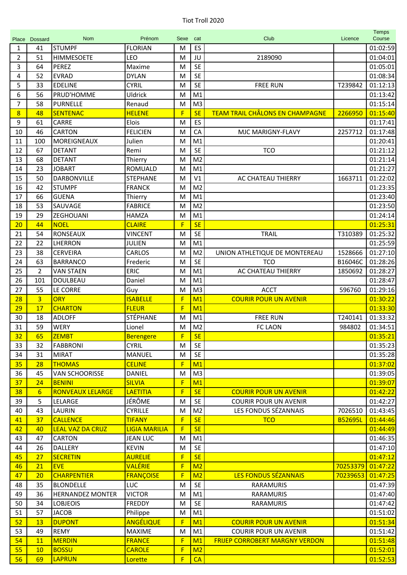| Place          | Dossard         | <b>Nom</b>                                 | Prénom                             | Sexe                         | cat                              | Club                                   | Licence              | <b>Temps</b><br>Course |
|----------------|-----------------|--------------------------------------------|------------------------------------|------------------------------|----------------------------------|----------------------------------------|----------------------|------------------------|
| 1              | 41              | <b>STUMPF</b>                              | <b>FLORIAN</b>                     | M                            | ES                               |                                        |                      | 01:02:59               |
| $\overline{2}$ | 51              | <b>HIMMESOETE</b>                          | LEO                                | M                            | JU                               | 2189090                                |                      | 01:04:01               |
| 3              | 64              | <b>PEREZ</b>                               | Maxime                             | M                            | <b>SE</b>                        |                                        |                      | 01:05:01               |
| 4              | 52              | <b>EVRAD</b>                               | <b>DYLAN</b>                       | M                            | <b>SE</b>                        |                                        |                      | 01:08:34               |
| 5              | 33              | <b>EDELINE</b>                             | <b>CYRIL</b>                       | M                            | <b>SE</b>                        | <b>FREE RUN</b>                        | T239842              | 01:12:13               |
| 6              | 56              | PRUD'HOMME                                 | <b>Uldrick</b>                     | M                            | M1                               |                                        |                      | 01:13:42               |
| $\overline{7}$ | 58              | <b>PURNELLE</b>                            | Renaud                             | M                            | M <sub>3</sub>                   |                                        |                      | 01:15:14               |
| 8              | 48              | <b>SENTENAC</b>                            | <b>HELENE</b>                      | F                            | <b>SE</b>                        | <b>TEAM TRAIL CHÂLONS EN CHAMPAGNE</b> | 2266950              | 01:15:40               |
| 9              | 61              | CARRE                                      | Elois                              | M                            | ES                               |                                        |                      | 01:17:41               |
| 10             | 46              | <b>CARTON</b>                              | <b>FELICIEN</b>                    | M                            | CA                               | MJC MARIGNY-FLAVY                      | 2257712              | 01:17:48               |
| 11             | 100             | MOREIGNEAUX                                | Julien                             | M                            | M1                               |                                        |                      | 01:20:41               |
| 12             | 67              | <b>DETANT</b>                              | Remi                               | M                            | <b>SE</b>                        | <b>TCO</b>                             |                      | 01:21:12               |
| 13             | 68              | <b>DETANT</b>                              | Thierry                            | M                            | M <sub>2</sub>                   |                                        |                      | 01:21:14               |
| 14             | 23              | <b>JOBART</b>                              | <b>ROMUALD</b>                     | M                            | M1                               |                                        |                      | 01:21:27               |
| 15             | 50              | DARBONVILLE                                | <b>STEPHANE</b>                    | M                            | V1                               | AC CHATEAU THIERRY                     | 1663711              | 01:22:02               |
| 16             | 42              | <b>STUMPF</b>                              | <b>FRANCK</b>                      | M                            | M <sub>2</sub>                   |                                        |                      | 01:23:35               |
| 17             | 66              | <b>GUENA</b>                               | Thierry                            | M                            | M1                               |                                        |                      | 01:23:40               |
| 18             | 53              | SAUVAGE                                    | <b>FABRICE</b>                     | M                            | M <sub>2</sub>                   |                                        |                      | 01:23:50               |
| 19             | 29              | <b>ZEGHOUANI</b>                           | <b>HAMZA</b>                       | M                            | M1                               |                                        |                      | 01:24:14               |
| 20             | 44              | <b>NOEL</b>                                | <b>CLAIRE</b>                      | F                            | <b>SE</b>                        |                                        |                      | 01:25:31               |
| 21             | 54              | <b>RONSEAUX</b>                            | <b>VINCENT</b>                     | M                            | <b>SE</b>                        | <b>TRAIL</b>                           | T310389              | 01:25:32               |
| 22             | 22              | LHERRON                                    | <b>JULIEN</b>                      | M                            | M1                               |                                        |                      | 01:25:59               |
| 23             | 38              | <b>CERVEIRA</b>                            | <b>CARLOS</b>                      | M                            | M <sub>2</sub>                   | UNION ATHLETIQUE DE MONTEREAU          | 1528666              | 01:27:10               |
| 24             | 63              | <b>BARRANCO</b>                            | Frederic                           | M                            | <b>SE</b>                        | <b>TCO</b>                             | B16046C              | 01:28:26               |
| 25             | $\overline{2}$  | <b>VAN STAEN</b>                           | ERIC                               | M                            | M1                               | AC CHATEAU THIERRY                     | 1850692              | 01:28:27               |
| 26             | 101             | <b>DOULBEAU</b>                            | Daniel                             | M                            | M1                               |                                        |                      | 01:28:47               |
| 27             | 55              | LE CORRE                                   | Guy                                | M                            | M <sub>3</sub>                   | <b>ACCT</b>                            | 596760               | 01:29:16               |
| 28             | $\overline{3}$  | <b>ORY</b>                                 | <b>ISABELLE</b>                    | $\mathsf{F}$                 | M1                               | <b>COURIR POUR UN AVENIR</b>           |                      | 01:30:22               |
| 29             | 17              | <b>CHARTON</b>                             | <b>FLEUR</b>                       | $\mathsf{F}$                 | M1                               |                                        |                      | 01:33:30               |
| 30             | 18              | <b>ADLOFF</b>                              | STÉPHANE                           | M                            | M1                               | <b>FREE RUN</b>                        | T240141              | 01:33:32               |
| 31             | 59              | <b>WERY</b>                                | Lionel                             | M                            | M <sub>2</sub>                   | <b>FC LAON</b>                         | 984802               | 01:34:51               |
| 32             | 65              | <b>ZEMBT</b>                               | <b>Berengere</b>                   | $\overline{\mathbf{F}}$      | SE                               |                                        |                      | 01:35:21               |
| 33             | 32              | <b>FABBRONI</b>                            | <b>CYRIL</b>                       | M                            | <b>SE</b>                        |                                        |                      | 01:35:23               |
| 34             | 31              | <b>MIRAT</b>                               | <b>MANUEL</b>                      | M                            | <b>SE</b>                        |                                        |                      | 01:35:28               |
| 35             | 28              | <b>THOMAS</b>                              | <b>CELINE</b>                      | F                            | M <sub>1</sub>                   |                                        |                      | 01:37:02               |
| 36             | 45              | <b>VAN SCHOORISSE</b>                      | <b>DANIEL</b>                      | M                            | M <sub>3</sub>                   |                                        |                      | 01:39:05               |
| 37             | 24              | <b>BENINI</b>                              | <b>SILVIA</b>                      | F                            | M1                               |                                        |                      | 01:39:07               |
| 38             | $6 \overline{}$ | <b>RONVEAUX LELARGE</b>                    | <b>LAETITIA</b>                    | $\overline{F}$               | <b>SE</b>                        | <b>COURIR POUR UN AVENIR</b>           |                      | 01:42:22               |
| 39             | 5               | LELARGE                                    | JÉRÔME                             | M                            | <b>SE</b>                        | <b>COURIR POUR UN AVENIR</b>           |                      | 01:42:27               |
| 40             | 43              | LAURIN                                     | <b>CYRILLE</b>                     | M                            | M <sub>2</sub>                   | LES FONDUS SÉZANNAIS                   | 7026510              | 01:43:45               |
| 41             | 37              | <b>CALLENCE</b>                            | <b>TIFANY</b>                      | F                            | <b>SE</b><br><b>SE</b>           | <b>TCO</b>                             | <b>B52695L</b>       | 01:44:46               |
| 42             | 40              | <b>LEAL VAZ DA CRUZ</b>                    | <b>LIGIA MARILIA</b>               | F                            |                                  |                                        |                      | 01:44:49               |
| 43             | 47              | <b>CARTON</b>                              | <b>JEAN LUC</b>                    | M                            | M1<br><b>SE</b>                  |                                        |                      | 01:46:35               |
| 44             | 26              | <b>DALLERY</b>                             | <b>KEVIN</b>                       | M                            |                                  |                                        |                      | 01:47:10               |
| 45             | 27              | <b>SECRETIN</b>                            | <b>AURELIE</b>                     | $\mathsf{F}$                 | <b>SE</b>                        |                                        |                      | 01:47:12               |
| 46<br>47       | 21<br>20        | <b>EVE</b><br><b>CHARPENTIER</b>           | <b>VALÉRIE</b><br><b>FRANÇOISE</b> | $\mathsf{F}$<br>$\mathsf{F}$ | M <sub>2</sub><br>M <sub>2</sub> | <b>LES FONDUS SÉZANNAIS</b>            | 70253379<br>70239653 | 01:47:22<br>01:47:25   |
|                |                 |                                            |                                    |                              |                                  |                                        |                      |                        |
| 48<br>49       | 35              | <b>BLONDELLE</b>                           | LUC<br><b>VICTOR</b>               | M                            | <b>SE</b><br>M1                  | <b>RARAMURIS</b>                       |                      | 01:47:39<br>01:47:40   |
| 50             | 36<br>34        | <b>HERNANDEZ MONTER</b><br><b>LOBJEOIS</b> | <b>FREDDY</b>                      | M<br>M                       | <b>SE</b>                        | <b>RARAMURIS</b><br><b>RARAMURIS</b>   |                      | 01:47:42               |
| 51             | 57              | <b>JACOB</b>                               | Philippe                           | M                            | M1                               |                                        |                      | 01:51:02               |
| 52             | 13              | <b>DUPONT</b>                              | <b>ANGÉLIQUE</b>                   | F                            | M1                               | <b>COURIR POUR UN AVENIR</b>           |                      | 01:51:34               |
| 53             | 49              | REMY                                       | <b>MAXIME</b>                      | M                            | M1                               | <b>COURIR POUR UN AVENIR</b>           |                      | 01:51:42               |
| 54             | 11              | <b>MERDIN</b>                              | <b>FRANCE</b>                      | $\mathsf{F}$                 | M1                               | <b>FRIJEP CORROBERT MARGNY VERDON</b>  |                      | 01:51:48               |
| 55             | 10              | <b>BOSSU</b>                               | <b>CAROLE</b>                      | $\mathsf{F}$                 | M <sub>2</sub>                   |                                        |                      | 01:52:01               |
| 56             | 69              | <b>LAPRUN</b>                              | Lorette                            | $\mathsf F$                  | CA                               |                                        |                      | 01:52:53               |
|                |                 |                                            |                                    |                              |                                  |                                        |                      |                        |